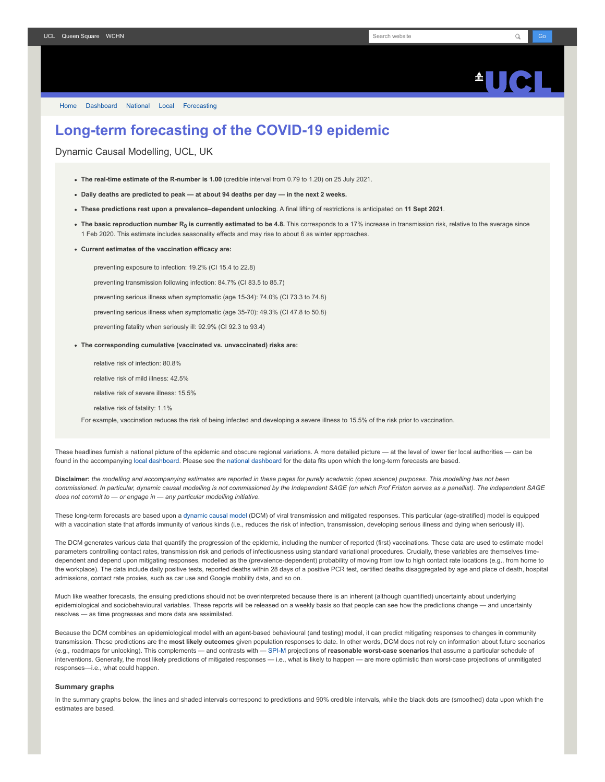[Home](https://www.fil.ion.ucl.ac.uk/spm/covid-19/) [Dashboard](https://www.fil.ion.ucl.ac.uk/spm/covid-19/dashboard/) [National](https://www.fil.ion.ucl.ac.uk/spm/covid-19/dashboard/) [Local](https://www.fil.ion.ucl.ac.uk/spm/covid-19/dashboard/local/) [Forecasting](https://www.fil.ion.ucl.ac.uk/spm/covid-19/forecasting/)

# **Long-term forecasting of the COVID-19 epidemic**

Dynamic Causal Modelling, UCL, UK

- **The real-time estimate of the R-number is 1.00** (credible interval from 0.79 to 1.20) on 25 July 2021.
- **Daily deaths are predicted to peak at about 94 deaths per day in the next 2 weeks.**
- **These predictions rest upon a prevalence–dependent unlocking**. A final lifting of restrictions is anticipated on **11 Sept 2021**.
- **The basic reproduction number R<sup>0</sup> is currently estimated to be 4.8.** This corresponds to a 17% increase in transmission risk, relative to the average since 1 Feb 2020. This estimate includes seasonality effects and may rise to about 6 as winter approaches.
- **Current estimates of the vaccination efficacy are:**

preventing exposure to infection: 19.2% (CI 15.4 to 22.8)

preventing transmission following infection: 84.7% (CI 83.5 to 85.7)

preventing serious illness when symptomatic (age 15-34): 74.0% (CI 73.3 to 74.8)

preventing serious illness when symptomatic (age 35-70): 49.3% (CI 47.8 to 50.8)

preventing fatality when seriously ill: 92.9% (CI 92.3 to 93.4)

- **The corresponding cumulative (vaccinated vs. unvaccinated) risks are:**
	- relative risk of infection: 80.8%
	- relative risk of mild illness: 42.5%

relative risk of severe illness: 15.5%

relative risk of fatality: 1.1%

For example, vaccination reduces the risk of being infected and developing a severe illness to 15.5% of the risk prior to vaccination.

These headlines furnish a national picture of the epidemic and obscure regional variations. A more detailed picture — at the level of lower tier local authorities — can be found in the accompanying [local dashboard](https://www.fil.ion.ucl.ac.uk/spm/covid-19/dashboard/local/). Please see the [national dashboard](https://www.fil.ion.ucl.ac.uk/spm/covid-19/dashboard/) for the data fits upon which the long-term forecasts are based.

**Disclaimer:** *the modelling and accompanying estimates are reported in these pages for purely academic (open science) purposes. This modelling has not been commissioned. In particular, dynamic causal modelling is not commissioned by the Independent SAGE (on which Prof Friston serves as a panellist). The independent SAGE does not commit to — or engage in — any particular modelling initiative.*

These long-term forecasts are based upon a [dynamic causal model](https://www.fil.ion.ucl.ac.uk/spm/covid-19) (DCM) of viral transmission and mitigated responses. This particular (age-stratified) model is equipped with a vaccination state that affords immunity of various kinds (i.e., reduces the risk of infection, transmission, developing serious illness and dying when seriously ill).

The DCM generates various data that quantify the progression of the epidemic, including the number of reported (first) vaccinations. These data are used to estimate model parameters controlling contact rates, transmission risk and periods of infectiousness using standard variational procedures. Crucially, these variables are themselves timedependent and depend upon mitigating responses, modelled as the (prevalence-dependent) probability of moving from low to high contact rate locations (e.g., from home to the workplace). The data include daily positive tests, reported deaths within 28 days of a positive PCR test, certified deaths disaggregated by age and place of death, hospital admissions, contact rate proxies, such as car use and Google mobility data, and so on.

Much like weather forecasts, the ensuing predictions should not be overinterpreted because there is an inherent (although quantified) uncertainty about underlying epidemiological and sociobehavioural variables. These reports will be released on a weekly basis so that people can see how the predictions change — and uncertainty resolves — as time progresses and more data are assimilated.

Because the DCM combines an epidemiological model with an agent-based behavioural (and testing) model, it can predict mitigating responses to changes in community transmission. These predictions are the **most likely outcomes** given population responses to date. In other words, DCM does not rely on information about future scenarios (e.g., roadmaps for unlocking). This complements — and contrasts with — [SPI-M](https://www.gov.uk/government/groups/scientific-pandemic-influenza-subgroup-on-modelling) projections of **reasonable worst-case scenarios** that assume a particular schedule of interventions. Generally, the most likely predictions of mitigated responses - i.e., what is likely to happen - are more optimistic than worst-case projections of unmitigated responses—i.e., what could happen.

## **Summary graphs**

In the summary graphs below, the lines and shaded intervals correspond to predictions and 90% credible intervals, while the black dots are (smoothed) data upon which the estimates are based.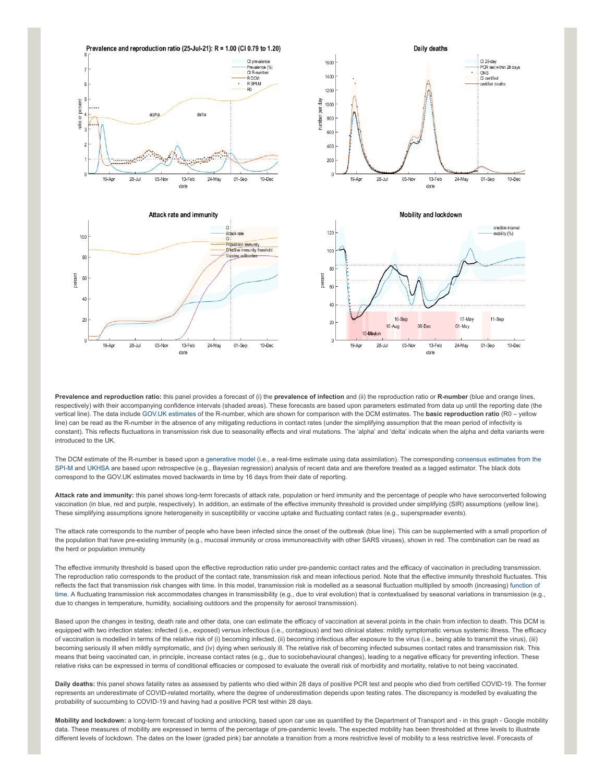

**Prevalence and reproduction ratio:** this panel provides a forecast of (i) the **prevalence of infection** and (ii) the reproduction ratio or **R-number** (blue and orange lines, respectively) with their accompanying confidence intervals (shaded areas). These forecasts are based upon parameters estimated from data up until the reporting date (the vertical line). The data include [GOV.UK estimates](https://www.gov.uk/guidance/the-r-number-in-the-uk#latest-r-and-growth-rate) of the R-number, which are shown for comparison with the DCM estimates. The **basic reproduction ratio** (R0 – yellow line) can be read as the R-number in the absence of any mitigating reductions in contact rates (under the simplifying assumption that the mean period of infectivity is constant). This reflects fluctuations in transmission risk due to seasonality effects and viral mutations. The 'alpha' and 'delta' indicate when the alpha and delta variants were introduced to the UK.

[The DCM estimate of the R-number is based upon a g](https://www.gov.uk/guidance/the-r-number-in-the-uk#contents)[enerative mode](https://en.wikipedia.org/wiki/Generative_model)[l \(i.e., a real-time estimate using data assimilation\). The corresponding consensus estimates from the](https://www.gov.uk/guidance/the-r-number-in-the-uk#contents) SPI-M and [UKHSA](https://www.gov.uk/government/news/uk-health-security-agency-to-take-on-the-modelling-of-the-r-value-and-growth-rate) are based upon retrospective (e.g., Bayesian regression) analysis of recent data and are therefore treated as a lagged estimator. The black dots correspond to the GOV.UK estimates moved backwards in time by 16 days from their date of reporting.

**Attack rate and immunity:** this panel shows long-term forecasts of attack rate, population or herd immunity and the percentage of people who have seroconverted following vaccination (in blue, red and purple, respectively). In addition, an estimate of the effective immunity threshold is provided under simplifying (SIR) assumptions (yellow line). These simplifying assumptions ignore heterogeneity in susceptibility or vaccine uptake and fluctuating contact rates (e.g., superspreader events).

The attack rate corresponds to the number of people who have been infected since the onset of the outbreak (blue line). This can be supplemented with a small proportion of the population that have pre-existing immunity (e.g., mucosal immunity or cross immunoreactivity with other SARS viruses), shown in red. The combination can be read as the herd or population immunity

The effective immunity threshold is based upon the effective reproduction ratio under pre-pandemic contact rates and the efficacy of vaccination in precluding transmission. The reproduction ratio corresponds to the product of the contact rate, transmission risk and mean infectious period. Note that the effective immunity threshold fluctuates. This [reflects the fact that transmission risk changes with time. In this model, transmission risk is modelled as a seasonal fluctuation multiplied by smooth \(increasing\) function of](https://www.medrxiv.org/content/10.1101/2021.01.10.21249520v1) time. A fluctuating transmission risk accommodates changes in transmissibility (e.g., due to viral evolution) that is contextualised by seasonal variations in transmission (e.g., due to changes in temperature, humidity, socialising outdoors and the propensity for aerosol transmission).

Based upon the changes in testing, death rate and other data, one can estimate the efficacy of vaccination at several points in the chain from infection to death. This DCM is equipped with two infection states: infected (i.e., exposed) versus infectious (i.e., contagious) and two clinical states: mildly symptomatic versus systemic illness. The efficacy of vaccination is modelled in terms of the relative risk of (i) becoming infected, (ii) becoming infectious after exposure to the virus (i.e., being able to transmit the virus), (iii) becoming seriously ill when mildly symptomatic, and (iv) dying when seriously ill. The relative risk of becoming infected subsumes contact rates and transmission risk. This means that being vaccinated can, in principle, increase contact rates (e.g., due to sociobehavioural changes), leading to a negative efficacy for preventing infection. These relative risks can be expressed in terms of conditional efficacies or composed to evaluate the overall risk of morbidity and mortality, relative to not being vaccinated.

**Daily deaths:** this panel shows fatality rates as assessed by patients who died within 28 days of positive PCR test and people who died from certified COVID-19. The former represents an underestimate of COVID-related mortality, where the degree of underestimation depends upon testing rates. The discrepancy is modelled by evaluating the probability of succumbing to COVID-19 and having had a positive PCR test within 28 days.

**Mobility and lockdown:** a long-term forecast of locking and unlocking, based upon car use as quantified by the Department of Transport and - in this graph - Google mobility data. These measures of mobility are expressed in terms of the percentage of pre-pandemic levels. The expected mobility has been thresholded at three levels to illustrate different levels of lockdown. The dates on the lower (graded pink) bar annotate a transition from a more restrictive level of mobility to a less restrictive level. Forecasts of